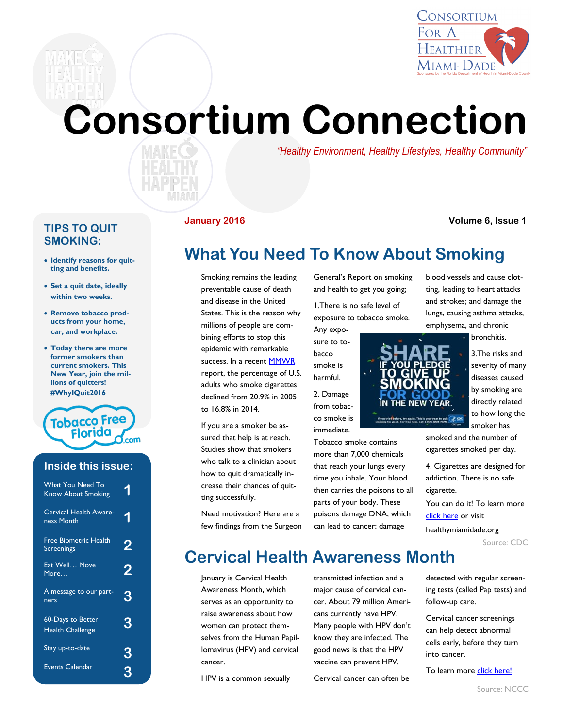

# **Consortium Connection**

*"Healthy Environment, Healthy Lifestyles, Healthy Community"*

#### **TIPS TO QUIT SMOKING:**

- **Identify reasons for quitting and benefits.**
- **Set a quit date, ideally within two weeks.**
- **Remove tobacco products from your home, car, and workplace.**
- **Today there are more former smokers than current smokers. This New Year, join the millions of quitters! #WhyIQuit2016**



### **Inside this issue:**

| <b>What You Need To</b><br><b>Know About Smoking</b> | å |
|------------------------------------------------------|---|
| <b>Cervical Health Aware-</b><br>ness Month          | 1 |
| <b>Free Biometric Health</b><br>Screenings           | 2 |
| Eat Well Move<br>More                                | 2 |
| A message to our part-<br>ners                       | З |
| <b>60-Days to Better</b><br><b>Health Challenge</b>  | З |
| Stay up-to-date                                      | З |
| Events Calendar                                      |   |

#### **January 2016 Volume 6, Issue 1**

## **What You Need To Know About Smoking**

Smoking remains the leading preventable cause of death and disease in the United States. This is the reason why millions of people are combining efforts to stop this epidemic with remarkable success. In a recent [MMWR](http://www.cdc.gov/mmwr/preview/mmwrhtml/mm6444a2.htm?s_cid=mm6444a2_w) report, the percentage of U.S. adults who smoke cigarettes declined from 20.9% in 2005 to 16.8% in 2014.

If you are a smoker be assured that help is at reach. Studies show that smokers who talk to a clinician about how to quit dramatically increase their chances of quitting successfully.

Need motivation? Here are a few findings from the Surgeon General's Report on smoking and health to get you going;

1.There is no safe level of exposure to tobacco smoke.

Any exposure to tobacco smoke is harmful.

2. Damage from tobacco smoke is immediate.

Tobacco smoke contains more than 7,000 chemicals that reach your lungs every time you inhale. Your blood then carries the poisons to all parts of your body. These poisons damage DNA, which can lead to cancer; damage

blood vessels and cause clotting, leading to heart attacks and strokes; and damage the lungs, causing asthma attacks, emphysema, and chronic

bronchitis.

3.The risks and severity of many diseases caused by smoking are directly related to how long the

smoked and the number of cigarettes smoked per day.

4. Cigarettes are designed for addiction. There is no safe cigarette.

You can do it! To learn more [click here](http://www.cdc.gov/tobacco/data_statistics/sgr/50th-anniversary/pdfs/what-you-need-to-know.pdf) or visit

healthymiamidade.org

Source: CDC

**Cervical Health Awareness Month**

January is Cervical Health Awareness Month, which serves as an opportunity to raise awareness about how women can protect themselves from the Human Papillomavirus (HPV) and cervical cancer.

HPV is a common sexually

transmitted infection and a major cause of cervical cancer. About 79 million Americans currently have HPV. Many people with HPV don't know they are infected. The good news is that the HPV vaccine can prevent HPV.

Cervical cancer can often be

detected with regular screening tests (called Pap tests) and follow-up care.

Cervical cancer screenings can help detect abnormal cells early, before they turn into cancer.

To learn more [click here!](http://www.nccc-online.org/)

IN THE NEW YEAR. If you tried before, try again. This is your year to guit ( EDC)<br>unsking for good. For free help, call 1-800-001T-NOW smoker has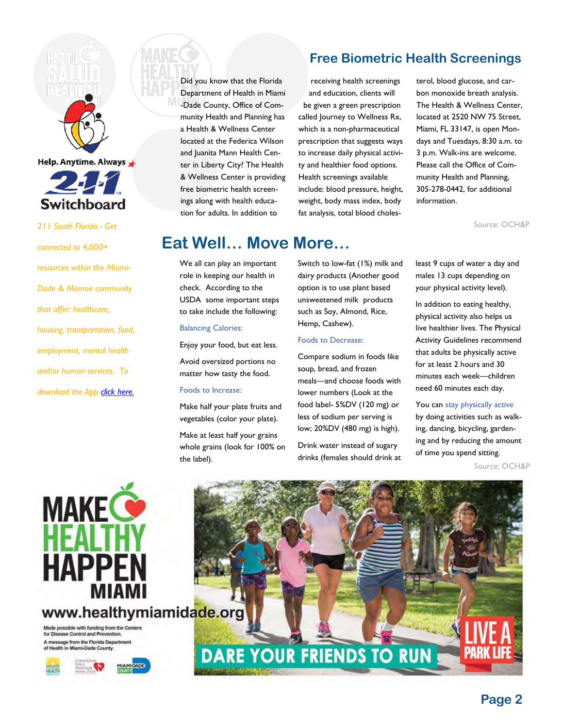

Help. Anytime. Always



*211 South Florida - Get* 

*connected to 4,000+ resources within the Miami-Dade & Monroe community that offer: healthcare, housing, transportation, food, employment, mental health and/or human services. To download the App [click here.](http://switchboardmiami.org/)* Did you know that the Florida Department of Health in Miami -Dade County, Office of Community Health and Planning has a Health & Wellness Center located at the Federica Wilson and Juanita Mann Health Center in Liberty City? The Health & Wellness Center is providing free biometric health screenings along with health education for adults. In addition to

## **Free Biometric Health Screenings**

receiving health screenings and education, clients will be given a green prescription called Journey to Wellness Rx, which is a non-pharmaceutical prescription that suggests ways to increase daily physical activity and healthier food options. Health screenings available include: blood pressure, height, weight, body mass index, body fat analysis, total blood cholesterol, blood glucose, and carbon monoxide breath analysis. The Health & Wellness Center, located at 2520 NW 75 Street, Miami, FL 33147, is open Mondays and Tuesdays, 8:30 a.m. to 3 p.m. Walk-ins are welcome. Please call the Office of Community Health and Planning, 305-278-0442, for additional information.

Source: OCH&P

## **Eat Well… Move More…**

We all can play an important role in keeping our health in check. According to the USDA some important steps to take include the following:

#### Balancing Calories:

Enjoy your food, but eat less. Avoid oversized portions no matter how tasty the food.

#### Foods to Increase:

Make half your plate fruits and vegetables (color your plate).

Make at least half your grains whole grains (look for 100% on the label).

Switch to low-fat (1%) milk and dairy products (Another good option is to use plant based unsweetened milk products such as Soy, Almond, Rice, Hemp, Cashew).

#### Foods to Decrease:

Compare sodium in foods like soup, bread, and frozen meals—and choose foods with lower numbers (Look at the food label- 5%DV (120 mg) or less of sodium per serving is low; 20%DV (480 mg) is high).

Drink water instead of sugary drinks (females should drink at

least 9 cups of water a day and males 13 cups depending on your physical activity level).

In addition to eating healthy, physical activity also helps us live healthier lives. The Physical Activity Guidelines recommend that adults be physically active for at least 2 hours and 30 minutes each week—children need 60 minutes each day.

#### You can stay physically active

by doing activities such as walking, dancing, bicycling, gardening and by reducing the amount of time you spend sitting.

Source: OCH&P



www.healthymiamidade.org Made possible with funding from the Centers<br>for Disease Control and Prevention.

A message from the Florida Department<br>of Health in Miami-Dade County.